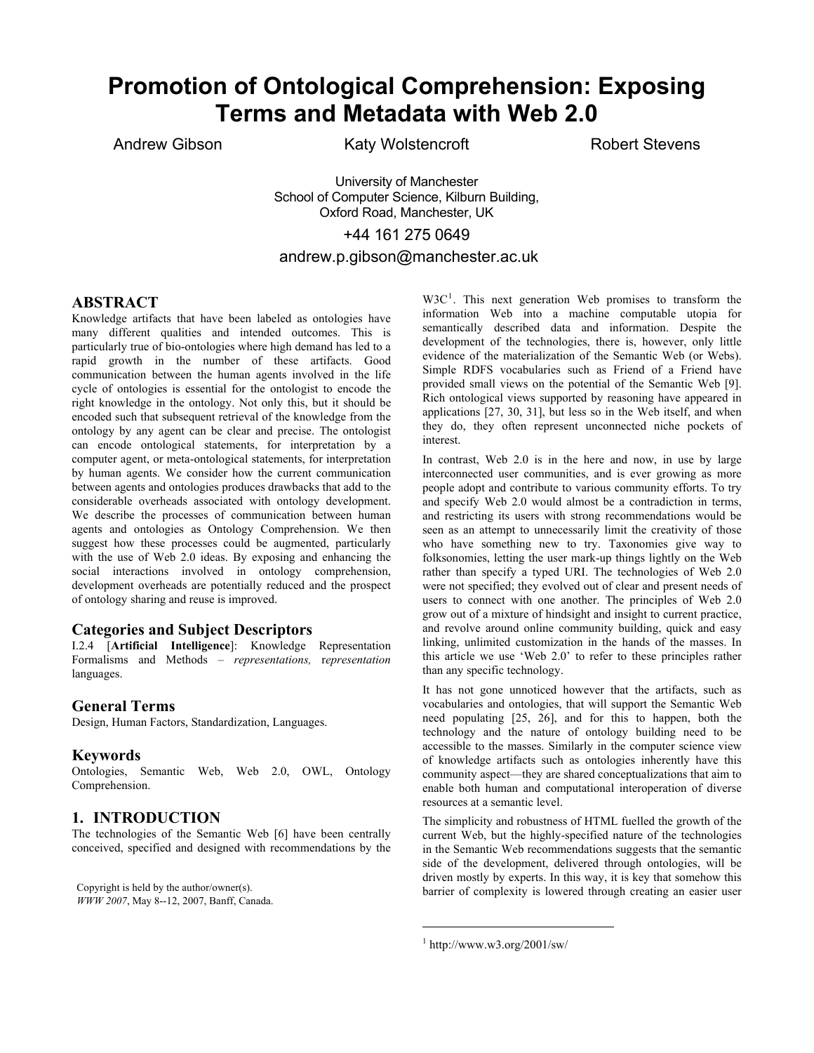# **Promotion of Ontological Comprehension: Exposing Terms and Metadata with Web 2.0**

Andrew Gibson Katy Wolstencroft

Robert Stevens

University of Manchester School of Computer Science, Kilburn Building, Oxford Road, Manchester, UK +44 161 275 0649

## andrew.p.gibson@manchester.ac.uk

### **ABSTRACT**

Knowledge artifacts that have been labeled as ontologies have many different qualities and intended outcomes. This is particularly true of bio-ontologies where high demand has led to a rapid growth in the number of these artifacts. Good communication between the human agents involved in the life cycle of ontologies is essential for the ontologist to encode the right knowledge in the ontology. Not only this, but it should be encoded such that subsequent retrieval of the knowledge from the ontology by any agent can be clear and precise. The ontologist can encode ontological statements, for interpretation by a computer agent, or meta-ontological statements, for interpretation by human agents. We consider how the current communication between agents and ontologies produces drawbacks that add to the considerable overheads associated with ontology development. We describe the processes of communication between human agents and ontologies as Ontology Comprehension. We then suggest how these processes could be augmented, particularly with the use of Web 2.0 ideas. By exposing and enhancing the social interactions involved in ontology comprehension, development overheads are potentially reduced and the prospect of ontology sharing and reuse is improved.

## **Categories and Subject Descriptors**

I.2.4 [**Artificial Intelligence**]: Knowledge Representation Formalisms and Methods – *representations,* r*epresentation* languages.

#### **General Terms**

Design, Human Factors, Standardization, Languages.

#### **Keywords**

Ontologies, Semantic Web, Web 2.0, OWL, Ontology Comprehension.

### **1. INTRODUCTION**

The technologies of the Semantic Web [6] have been centrally conceived, specified and designed with recommendations by the

<span id="page-0-0"></span>*WWW 2007*, May 8--12, 2007, Banff, Canada.

 $W3C<sup>1</sup>$  $W3C<sup>1</sup>$  $W3C<sup>1</sup>$ . This next generation Web promises to transform the information Web into a machine computable utopia for semantically described data and information. Despite the development of the technologies, there is, however, only little evidence of the materialization of the Semantic Web (or Webs). Simple RDFS vocabularies such as Friend of a Friend have provided small views on the potential of the Semantic Web [9]. Rich ontological views supported by reasoning have appeared in applications [27, 30, 31], but less so in the Web itself, and when they do, they often represent unconnected niche pockets of interest.

In contrast, Web 2.0 is in the here and now, in use by large interconnected user communities, and is ever growing as more people adopt and contribute to various community efforts. To try and specify Web 2.0 would almost be a contradiction in terms, and restricting its users with strong recommendations would be seen as an attempt to unnecessarily limit the creativity of those who have something new to try. Taxonomies give way to folksonomies, letting the user mark-up things lightly on the Web rather than specify a typed URI. The technologies of Web 2.0 were not specified; they evolved out of clear and present needs of users to connect with one another. The principles of Web 2.0 grow out of a mixture of hindsight and insight to current practice, and revolve around online community building, quick and easy linking, unlimited customization in the hands of the masses. In this article we use 'Web 2.0' to refer to these principles rather than any specific technology.

It has not gone unnoticed however that the artifacts, such as vocabularies and ontologies, that will support the Semantic Web need populating [25, 26], and for this to happen, both the technology and the nature of ontology building need to be accessible to the masses. Similarly in the computer science view of knowledge artifacts such as ontologies inherently have this community aspect—they are shared conceptualizations that aim to enable both human and computational interoperation of diverse resources at a semantic level.

The simplicity and robustness of HTML fuelled the growth of the current Web, but the highly-specified nature of the technologies in the Semantic Web recommendations suggests that the semantic side of the development, delivered through ontologies, will be driven mostly by experts. In this way, it is key that somehow this Copyright is held by the author/owner(s). barrier of complexity is lowered through creating an easier user

1

<sup>1</sup> http://www.w3.org/2001/sw/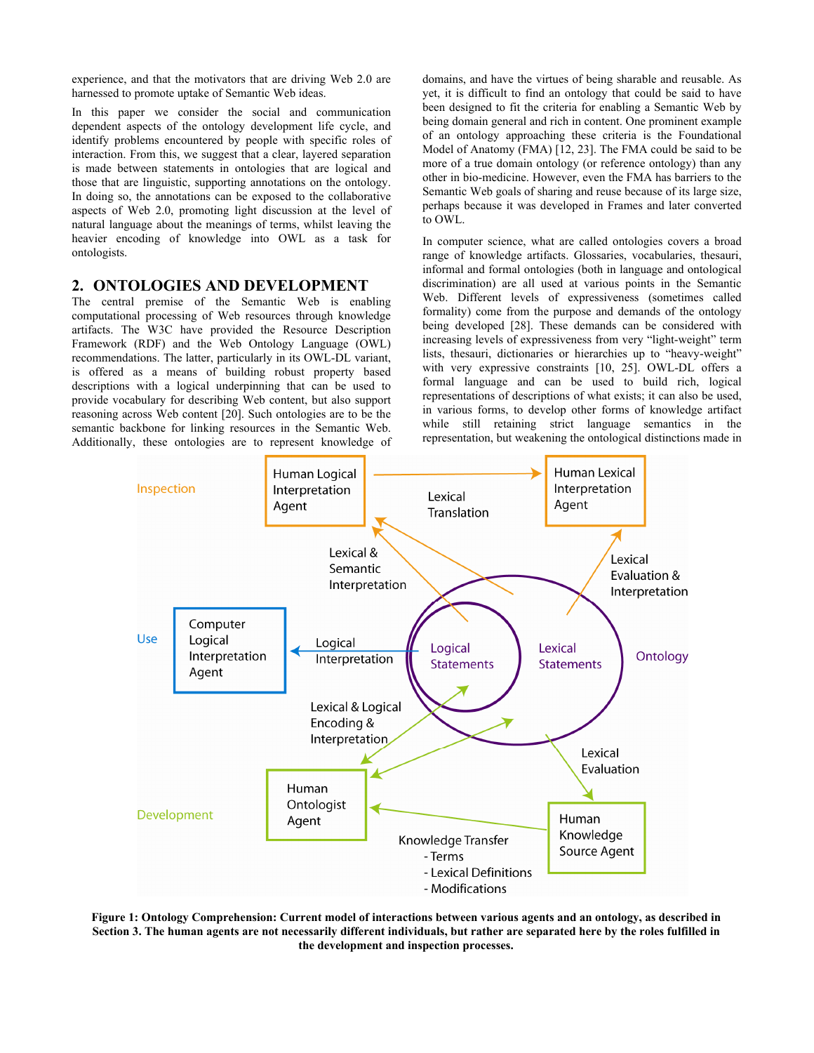experience, and that the motivators that are driving Web 2.0 are harnessed to promote uptake of Semantic Web ideas.

In this paper we consider the social and communication dependent aspects of the ontology development life cycle, and identify problems encountered by people with specific roles of interaction. From this, we suggest that a clear, layered separation is made between statements in ontologies that are logical and those that are linguistic, supporting annotations on the ontology. In doing so, the annotations can be exposed to the collaborative aspects of Web 2.0, promoting light discussion at the level of natural language about the meanings of terms, whilst leaving the heavier encoding of knowledge into OWL as a task for ontologists.

### **2. ONTOLOGIES AND DEVELOPMENT**

The central premise of the Semantic Web is enabling computational processing of Web resources through knowledge artifacts. The W3C have provided the Resource Description Framework (RDF) and the Web Ontology Language (OWL) recommendations. The latter, particularly in its OWL-DL variant, is offered as a means of building robust property based descriptions with a logical underpinning that can be used to provide vocabulary for describing Web content, but also support reasoning across Web content [20]. Such ontologies are to be the semantic backbone for linking resources in the Semantic Web. Additionally, these ontologies are to represent knowledge of domains, and have the virtues of being sharable and reusable. As yet, it is difficult to find an ontology that could be said to have been designed to fit the criteria for enabling a Semantic Web by being domain general and rich in content. One prominent example of an ontology approaching these criteria is the Foundational Model of Anatomy (FMA) [12, 23]. The FMA could be said to be more of a true domain ontology (or reference ontology) than any other in bio-medicine. However, even the FMA has barriers to the Semantic Web goals of sharing and reuse because of its large size, perhaps because it was developed in Frames and later converted to OWL.

In computer science, what are called ontologies covers a broad range of knowledge artifacts. Glossaries, vocabularies, thesauri, informal and formal ontologies (both in language and ontological discrimination) are all used at various points in the Semantic Web. Different levels of expressiveness (sometimes called formality) come from the purpose and demands of the ontology being developed [28]. These demands can be considered with increasing levels of expressiveness from very "light-weight" term lists, thesauri, dictionaries or hierarchies up to "heavy-weight" with very expressive constraints [10, 25]. OWL-DL offers a formal language and can be used to build rich, logical representations of descriptions of what exists; it can also be used, in various forms, to develop other forms of knowledge artifact while still retaining strict language semantics in the representation, but weakening the ontological distinctions made in



**Figure 1: Ontology Comprehension: Current model of interactions between various agents and an ontology, as described in Section 3. The human agents are not necessarily different individuals, but rather are separated here by the roles fulfilled in the development and inspection processes.**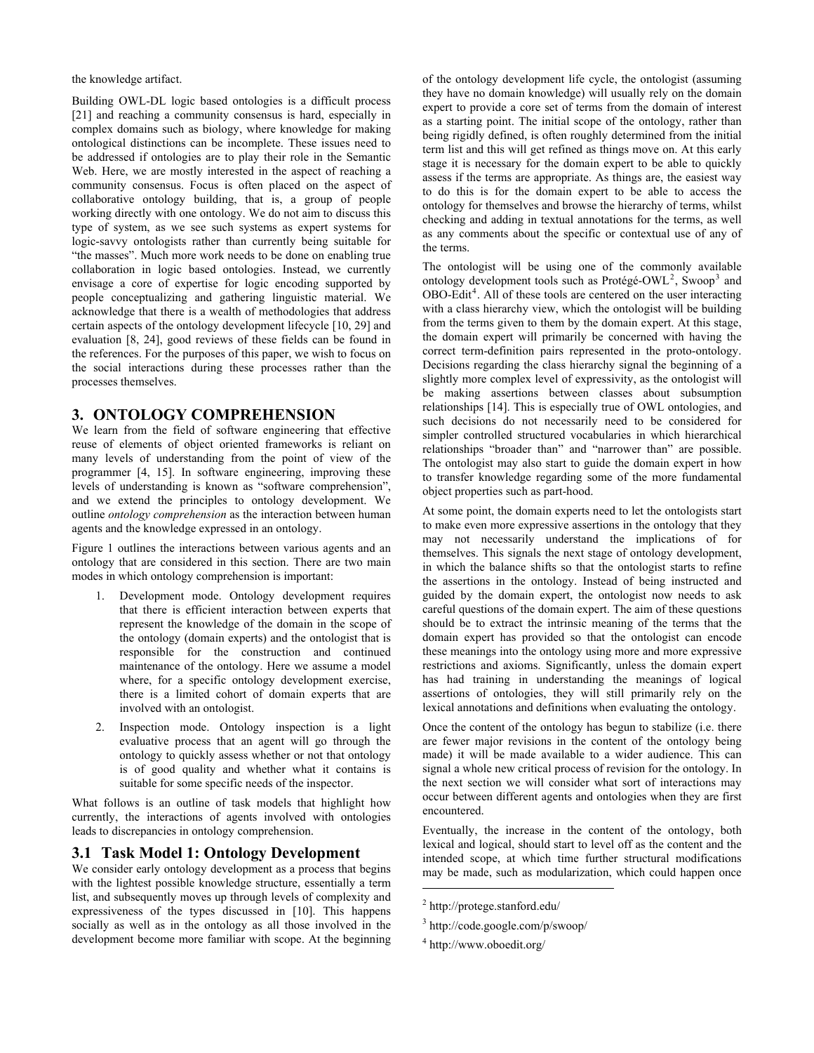the knowledge artifact.

Building OWL-DL logic based ontologies is a difficult process [21] and reaching a community consensus is hard, especially in complex domains such as biology, where knowledge for making ontological distinctions can be incomplete. These issues need to be addressed if ontologies are to play their role in the Semantic Web. Here, we are mostly interested in the aspect of reaching a community consensus. Focus is often placed on the aspect of collaborative ontology building, that is, a group of people working directly with one ontology. We do not aim to discuss this type of system, as we see such systems as expert systems for logic-savvy ontologists rather than currently being suitable for "the masses". Much more work needs to be done on enabling true collaboration in logic based ontologies. Instead, we currently envisage a core of expertise for logic encoding supported by people conceptualizing and gathering linguistic material. We acknowledge that there is a wealth of methodologies that address certain aspects of the ontology development lifecycle [10, 29] and evaluation [8, 24], good reviews of these fields can be found in the references. For the purposes of this paper, we wish to focus on the social interactions during these processes rather than the processes themselves.

## <span id="page-2-4"></span>**3. ONTOLOGY COMPREHENSION**

We learn from the field of software engineering that effective reuse of elements of object oriented frameworks is reliant on many levels of understanding from the point of view of the programmer [4, 15]. In software engineering, improving these levels of understanding is known as "software comprehension", and we extend the principles to ontology development. We outline *ontology comprehension* as the interaction between human agents and the knowledge expressed in an ontology.

Figure 1 outlines the interactions between various agents and an ontology that are considered in this section. There are two main modes in which ontology comprehension is important:

- 1. Development mode. Ontology development requires that there is efficient interaction between experts that represent the knowledge of the domain in the scope of the ontology (domain experts) and the ontologist that is responsible for the construction and continued maintenance of the ontology. Here we assume a model where, for a specific ontology development exercise, there is a limited cohort of domain experts that are involved with an ontologist.
- Inspection mode. Ontology inspection is a light evaluative process that an agent will go through the ontology to quickly assess whether or not that ontology is of good quality and whether what it contains is suitable for some specific needs of the inspector.

What follows is an outline of task models that highlight how currently, the interactions of agents involved with ontologies leads to discrepancies in ontology comprehension.

#### <span id="page-2-3"></span>**3.1 Task Model 1: Ontology Development**

<span id="page-2-2"></span><span id="page-2-1"></span><span id="page-2-0"></span>We consider early ontology development as a process that begins with the lightest possible knowledge structure, essentially a term list, and subsequently moves up through levels of complexity and expressiveness of the types discussed in [10]. This happens socially as well as in the ontology as all those involved in the development become more familiar with scope. At the beginning of the ontology development life cycle, the ontologist (assuming they have no domain knowledge) will usually rely on the domain expert to provide a core set of terms from the domain of interest as a starting point. The initial scope of the ontology, rather than being rigidly defined, is often roughly determined from the initial term list and this will get refined as things move on. At this early stage it is necessary for the domain expert to be able to quickly assess if the terms are appropriate. As things are, the easiest way to do this is for the domain expert to be able to access the ontology for themselves and browse the hierarchy of terms, whilst checking and adding in textual annotations for the terms, as well as any comments about the specific or contextual use of any of the terms.

The ontologist will be using one of the commonly available ontology development tools such as Protégé-OWL<sup>[2](#page-2-0)</sup>, Swoop<sup>[3](#page-2-1)</sup> and OBO-Edit<sup>[4](#page-2-2)</sup>. All of these tools are centered on the user interacting with a class hierarchy view, which the ontologist will be building from the terms given to them by the domain expert. At this stage, the domain expert will primarily be concerned with having the correct term-definition pairs represented in the proto-ontology. Decisions regarding the class hierarchy signal the beginning of a slightly more complex level of expressivity, as the ontologist will be making assertions between classes about subsumption relationships [14]. This is especially true of OWL ontologies, and such decisions do not necessarily need to be considered for simpler controlled structured vocabularies in which hierarchical relationships "broader than" and "narrower than" are possible. The ontologist may also start to guide the domain expert in how to transfer knowledge regarding some of the more fundamental object properties such as part-hood.

At some point, the domain experts need to let the ontologists start to make even more expressive assertions in the ontology that they may not necessarily understand the implications of for themselves. This signals the next stage of ontology development, in which the balance shifts so that the ontologist starts to refine the assertions in the ontology. Instead of being instructed and guided by the domain expert, the ontologist now needs to ask careful questions of the domain expert. The aim of these questions should be to extract the intrinsic meaning of the terms that the domain expert has provided so that the ontologist can encode these meanings into the ontology using more and more expressive restrictions and axioms. Significantly, unless the domain expert has had training in understanding the meanings of logical assertions of ontologies, they will still primarily rely on the lexical annotations and definitions when evaluating the ontology.

Once the content of the ontology has begun to stabilize (i.e. there are fewer major revisions in the content of the ontology being made) it will be made available to a wider audience. This can signal a whole new critical process of revision for the ontology. In the next section we will consider what sort of interactions may occur between different agents and ontologies when they are first encountered.

Eventually, the increase in the content of the ontology, both lexical and logical, should start to level off as the content and the intended scope, at which time further structural modifications may be made, such as modularization, which could happen once

1

<sup>2</sup> http://protege.stanford.edu/

<sup>3</sup> http://code.google.com/p/swoop/

<sup>4</sup> http://www.oboedit.org/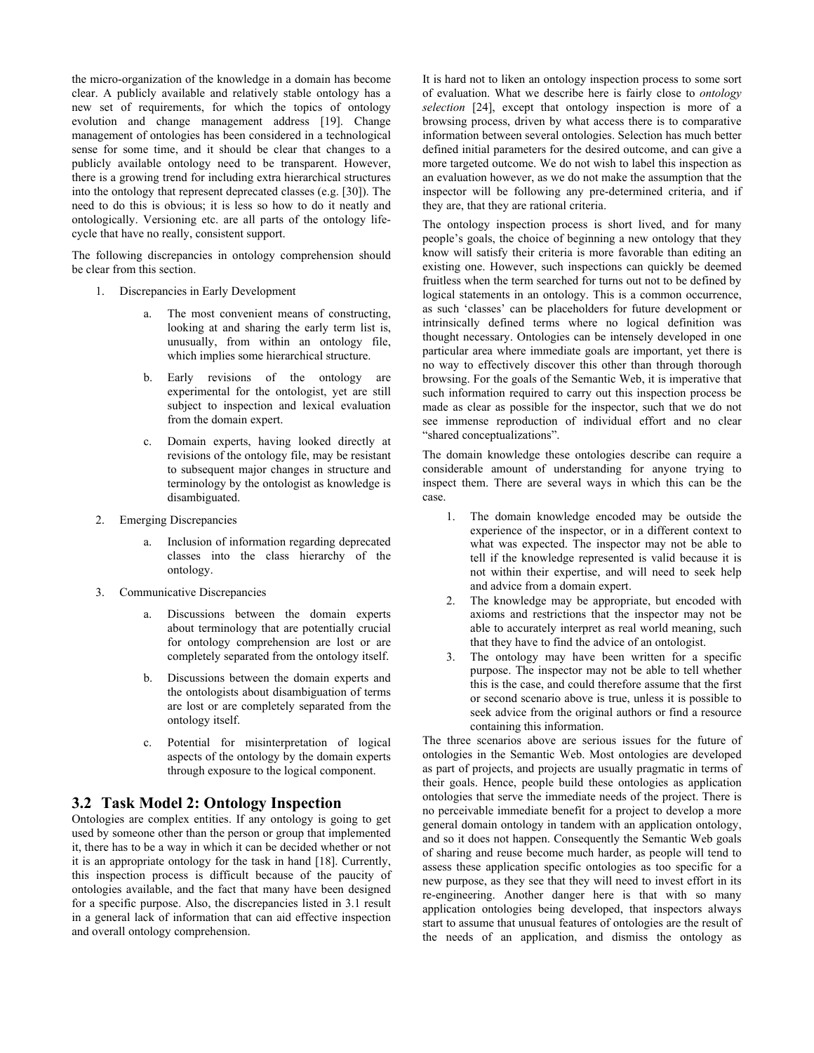the micro-organization of the knowledge in a domain has become clear. A publicly available and relatively stable ontology has a new set of requirements, for which the topics of ontology evolution and change management address [19]. Change management of ontologies has been considered in a technological sense for some time, and it should be clear that changes to a publicly available ontology need to be transparent. However, there is a growing trend for including extra hierarchical structures into the ontology that represent deprecated classes (e.g. [30]). The need to do this is obvious; it is less so how to do it neatly and ontologically. Versioning etc. are all parts of the ontology lifecycle that have no really, consistent support.

The following discrepancies in ontology comprehension should be clear from this section.

- 1. Discrepancies in Early Development
	- a. The most convenient means of constructing, looking at and sharing the early term list is, unusually, from within an ontology file, which implies some hierarchical structure.
	- b. Early revisions of the ontology are experimental for the ontologist, yet are still subject to inspection and lexical evaluation from the domain expert.
	- c. Domain experts, having looked directly at revisions of the ontology file, may be resistant to subsequent major changes in structure and terminology by the ontologist as knowledge is disambiguated.
- 2. Emerging Discrepancies
	- a. Inclusion of information regarding deprecated classes into the class hierarchy of the ontology.
- 3. Communicative Discrepancies
	- a. Discussions between the domain experts about terminology that are potentially crucial for ontology comprehension are lost or are completely separated from the ontology itself.
	- b. Discussions between the domain experts and the ontologists about disambiguation of terms are lost or are completely separated from the ontology itself.
	- c. Potential for misinterpretation of logical aspects of the ontology by the domain experts through exposure to the logical component.

### <span id="page-3-0"></span>**3.2 Task Model 2: Ontology Inspection**

Ontologies are complex entities. If any ontology is going to get used by someone other than the person or group that implemented it, there has to be a way in which it can be decided whether or not it is an appropriate ontology for the task in hand [18]. Currently, this inspection process is difficult because of the paucity of ontologies available, and the fact that many have been designed for a specific purpose. Also, the discrepancies listed in [3.1](#page-2-3) result in a general lack of information that can aid effective inspection and overall ontology comprehension.

It is hard not to liken an ontology inspection process to some sort of evaluation. What we describe here is fairly close to *ontology selection* [24], except that ontology inspection is more of a browsing process, driven by what access there is to comparative information between several ontologies. Selection has much better defined initial parameters for the desired outcome, and can give a more targeted outcome. We do not wish to label this inspection as an evaluation however, as we do not make the assumption that the inspector will be following any pre-determined criteria, and if they are, that they are rational criteria.

The ontology inspection process is short lived, and for many people's goals, the choice of beginning a new ontology that they know will satisfy their criteria is more favorable than editing an existing one. However, such inspections can quickly be deemed fruitless when the term searched for turns out not to be defined by logical statements in an ontology. This is a common occurrence, as such 'classes' can be placeholders for future development or intrinsically defined terms where no logical definition was thought necessary. Ontologies can be intensely developed in one particular area where immediate goals are important, yet there is no way to effectively discover this other than through thorough browsing. For the goals of the Semantic Web, it is imperative that such information required to carry out this inspection process be made as clear as possible for the inspector, such that we do not see immense reproduction of individual effort and no clear "shared conceptualizations".

The domain knowledge these ontologies describe can require a considerable amount of understanding for anyone trying to inspect them. There are several ways in which this can be the case.

- 1. The domain knowledge encoded may be outside the experience of the inspector, or in a different context to what was expected. The inspector may not be able to tell if the knowledge represented is valid because it is not within their expertise, and will need to seek help and advice from a domain expert.
- 2. The knowledge may be appropriate, but encoded with axioms and restrictions that the inspector may not be able to accurately interpret as real world meaning, such that they have to find the advice of an ontologist.
- 3. The ontology may have been written for a specific purpose. The inspector may not be able to tell whether this is the case, and could therefore assume that the first or second scenario above is true, unless it is possible to seek advice from the original authors or find a resource containing this information.

The three scenarios above are serious issues for the future of ontologies in the Semantic Web. Most ontologies are developed as part of projects, and projects are usually pragmatic in terms of their goals. Hence, people build these ontologies as application ontologies that serve the immediate needs of the project. There is no perceivable immediate benefit for a project to develop a more general domain ontology in tandem with an application ontology, and so it does not happen. Consequently the Semantic Web goals of sharing and reuse become much harder, as people will tend to assess these application specific ontologies as too specific for a new purpose, as they see that they will need to invest effort in its re-engineering. Another danger here is that with so many application ontologies being developed, that inspectors always start to assume that unusual features of ontologies are the result of the needs of an application, and dismiss the ontology as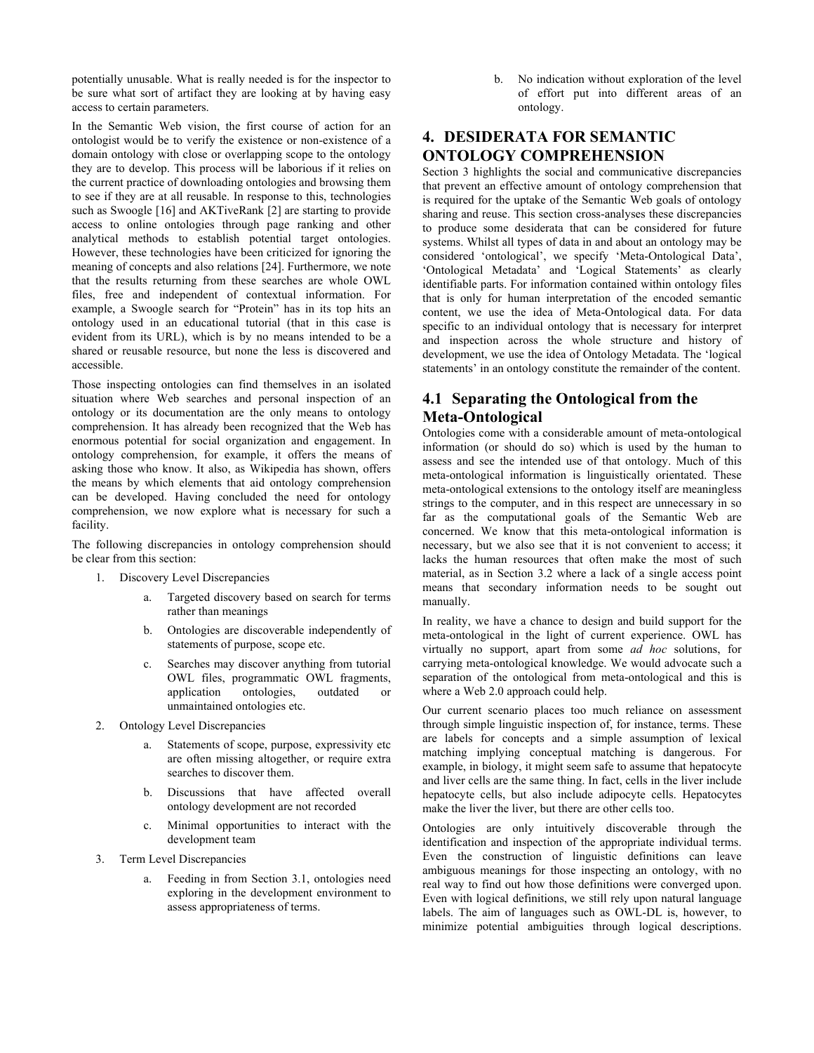potentially unusable. What is really needed is for the inspector to be sure what sort of artifact they are looking at by having easy access to certain parameters.

In the Semantic Web vision, the first course of action for an ontologist would be to verify the existence or non-existence of a domain ontology with close or overlapping scope to the ontology they are to develop. This process will be laborious if it relies on the current practice of downloading ontologies and browsing them to see if they are at all reusable. In response to this, technologies such as Swoogle [16] and AKTiveRank [2] are starting to provide access to online ontologies through page ranking and other analytical methods to establish potential target ontologies. However, these technologies have been criticized for ignoring the meaning of concepts and also relations [24]. Furthermore, we note that the results returning from these searches are whole OWL files, free and independent of contextual information. For example, a Swoogle search for "Protein" has in its top hits an ontology used in an educational tutorial (that in this case is evident from its URL), which is by no means intended to be a shared or reusable resource, but none the less is discovered and accessible.

Those inspecting ontologies can find themselves in an isolated situation where Web searches and personal inspection of an ontology or its documentation are the only means to ontology comprehension. It has already been recognized that the Web has enormous potential for social organization and engagement. In ontology comprehension, for example, it offers the means of asking those who know. It also, as Wikipedia has shown, offers the means by which elements that aid ontology comprehension can be developed. Having concluded the need for ontology comprehension, we now explore what is necessary for such a facility.

The following discrepancies in ontology comprehension should be clear from this section:

- 1. Discovery Level Discrepancies
	- a. Targeted discovery based on search for terms rather than meanings
	- b. Ontologies are discoverable independently of statements of purpose, scope etc.
	- c. Searches may discover anything from tutorial OWL files, programmatic OWL fragments, application ontologies, outdated or unmaintained ontologies etc.
- 2. Ontology Level Discrepancies
	- a. Statements of scope, purpose, expressivity etc are often missing altogether, or require extra searches to discover them.
	- b. Discussions that have affected overall ontology development are not recorded
	- c. Minimal opportunities to interact with the development team
- 3. Term Level Discrepancies
	- a. Feeding in from Section [3.1,](#page-2-3) ontologies need exploring in the development environment to assess appropriateness of terms.

b. No indication without exploration of the level of effort put into different areas of an ontology.

# **4. DESIDERATA FOR SEMANTIC ONTOLOGY COMPREHENSION**

Section [3](#page-2-4) highlights the social and communicative discrepancies that prevent an effective amount of ontology comprehension that is required for the uptake of the Semantic Web goals of ontology sharing and reuse. This section cross-analyses these discrepancies to produce some desiderata that can be considered for future systems. Whilst all types of data in and about an ontology may be considered 'ontological', we specify 'Meta-Ontological Data', 'Ontological Metadata' and 'Logical Statements' as clearly identifiable parts. For information contained within ontology files that is only for human interpretation of the encoded semantic content, we use the idea of Meta-Ontological data. For data specific to an individual ontology that is necessary for interpret and inspection across the whole structure and history of development, we use the idea of Ontology Metadata. The 'logical statements' in an ontology constitute the remainder of the content.

# **4.1 Separating the Ontological from the Meta-Ontological**

Ontologies come with a considerable amount of meta-ontological information (or should do so) which is used by the human to assess and see the intended use of that ontology. Much of this meta-ontological information is linguistically orientated. These meta-ontological extensions to the ontology itself are meaningless strings to the computer, and in this respect are unnecessary in so far as the computational goals of the Semantic Web are concerned. We know that this meta-ontological information is necessary, but we also see that it is not convenient to access; it lacks the human resources that often make the most of such material, as in Section [3.2](#page-3-0) where a lack of a single access point means that secondary information needs to be sought out manually.

In reality, we have a chance to design and build support for the meta-ontological in the light of current experience. OWL has virtually no support, apart from some *ad hoc* solutions, for carrying meta-ontological knowledge. We would advocate such a separation of the ontological from meta-ontological and this is where a Web 2.0 approach could help.

Our current scenario places too much reliance on assessment through simple linguistic inspection of, for instance, terms. These are labels for concepts and a simple assumption of lexical matching implying conceptual matching is dangerous. For example, in biology, it might seem safe to assume that hepatocyte and liver cells are the same thing. In fact, cells in the liver include hepatocyte cells, but also include adipocyte cells. Hepatocytes make the liver the liver, but there are other cells too.

Ontologies are only intuitively discoverable through the identification and inspection of the appropriate individual terms. Even the construction of linguistic definitions can leave ambiguous meanings for those inspecting an ontology, with no real way to find out how those definitions were converged upon. Even with logical definitions, we still rely upon natural language labels. The aim of languages such as OWL-DL is, however, to minimize potential ambiguities through logical descriptions.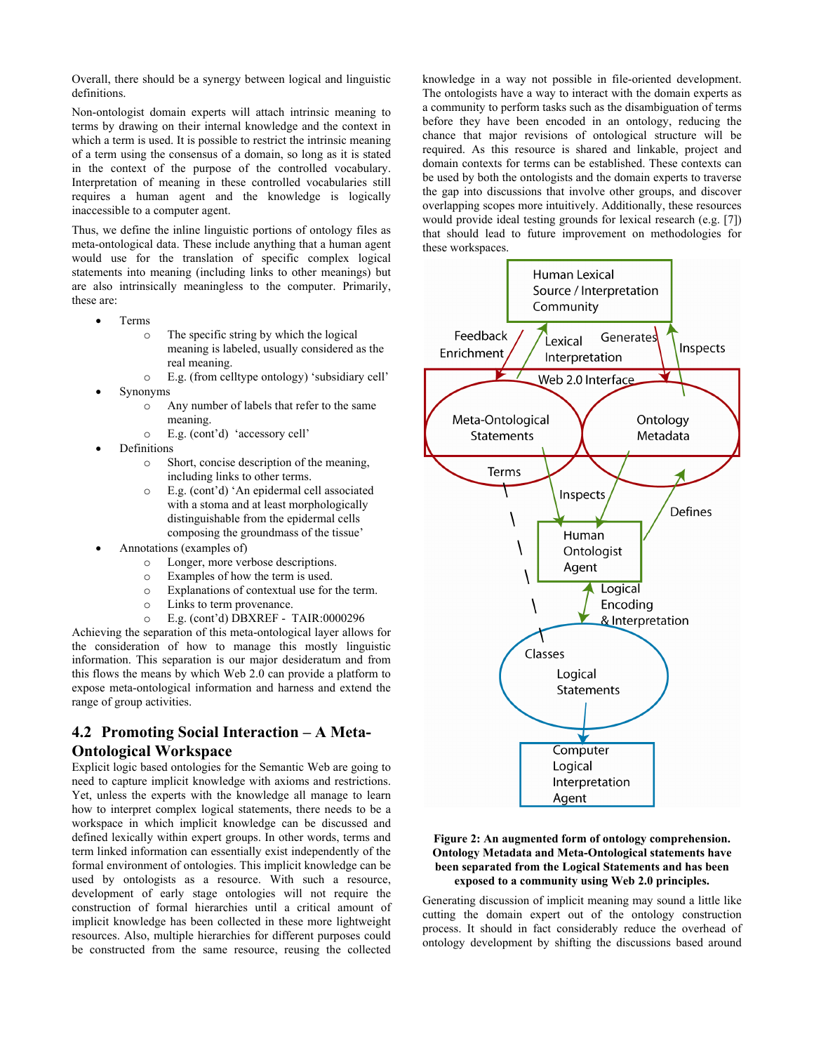Overall, there should be a synergy between logical and linguistic definitions.

Non-ontologist domain experts will attach intrinsic meaning to terms by drawing on their internal knowledge and the context in which a term is used. It is possible to restrict the intrinsic meaning of a term using the consensus of a domain, so long as it is stated in the context of the purpose of the controlled vocabulary. Interpretation of meaning in these controlled vocabularies still requires a human agent and the knowledge is logically inaccessible to a computer agent.

Thus, we define the inline linguistic portions of ontology files as meta-ontological data. These include anything that a human agent would use for the translation of specific complex logical statements into meaning (including links to other meanings) but are also intrinsically meaningless to the computer. Primarily, these are:

- Terms
	- o The specific string by which the logical meaning is labeled, usually considered as the real meaning.
	- o E.g. (from celltype ontology) 'subsidiary cell' • Synonyms
		- o Any number of labels that refer to the same meaning.
		- o E.g. (cont'd) 'accessory cell'
- Definitions
	- o Short, concise description of the meaning, including links to other terms.
	- o E.g. (cont'd) 'An epidermal cell associated with a stoma and at least morphologically distinguishable from the epidermal cells composing the groundmass of the tissue'
- Annotations (examples of)
	- o Longer, more verbose descriptions.
	- o Examples of how the term is used.
	- o Explanations of contextual use for the term.
	- o Links to term provenance.
	- o E.g. (cont'd) DBXREF TAIR:0000296

Achieving the separation of this meta-ontological layer allows for the consideration of how to manage this mostly linguistic information. This separation is our major desideratum and from this flows the means by which Web 2.0 can provide a platform to expose meta-ontological information and harness and extend the range of group activities.

# **4.2 Promoting Social Interaction – A Meta-Ontological Workspace**

<span id="page-5-0"></span>Explicit logic based ontologies for the Semantic Web are going to need to capture implicit knowledge with axioms and restrictions. Yet, unless the experts with the knowledge all manage to learn how to interpret complex logical statements, there needs to be a workspace in which implicit knowledge can be discussed and defined lexically within expert groups. In other words, terms and term linked information can essentially exist independently of the formal environment of ontologies. This implicit knowledge can be used by ontologists as a resource. With such a resource, development of early stage ontologies will not require the construction of formal hierarchies until a critical amount of implicit knowledge has been collected in these more lightweight resources. Also, multiple hierarchies for different purposes could be constructed from the same resource, reusing the collected

knowledge in a way not possible in file-oriented development. The ontologists have a way to interact with the domain experts as a community to perform tasks such as the disambiguation of terms before they have been encoded in an ontology, reducing the chance that major revisions of ontological structure will be required. As this resource is shared and linkable, project and domain contexts for terms can be established. These contexts can be used by both the ontologists and the domain experts to traverse the gap into discussions that involve other groups, and discover overlapping scopes more intuitively. Additionally, these resources would provide ideal testing grounds for lexical research (e.g. [7]) that should lead to future improvement on methodologies for these workspaces.



#### **Figure 2: An augmented form of ontology comprehension. Ontology Metadata and Meta-Ontological statements have been separated from the Logical Statements and has been exposed to a community using Web 2.0 principles.**

Generating discussion of implicit meaning may sound a little like cutting the domain expert out of the ontology construction process. It should in fact considerably reduce the overhead of ontology development by shifting the discussions based around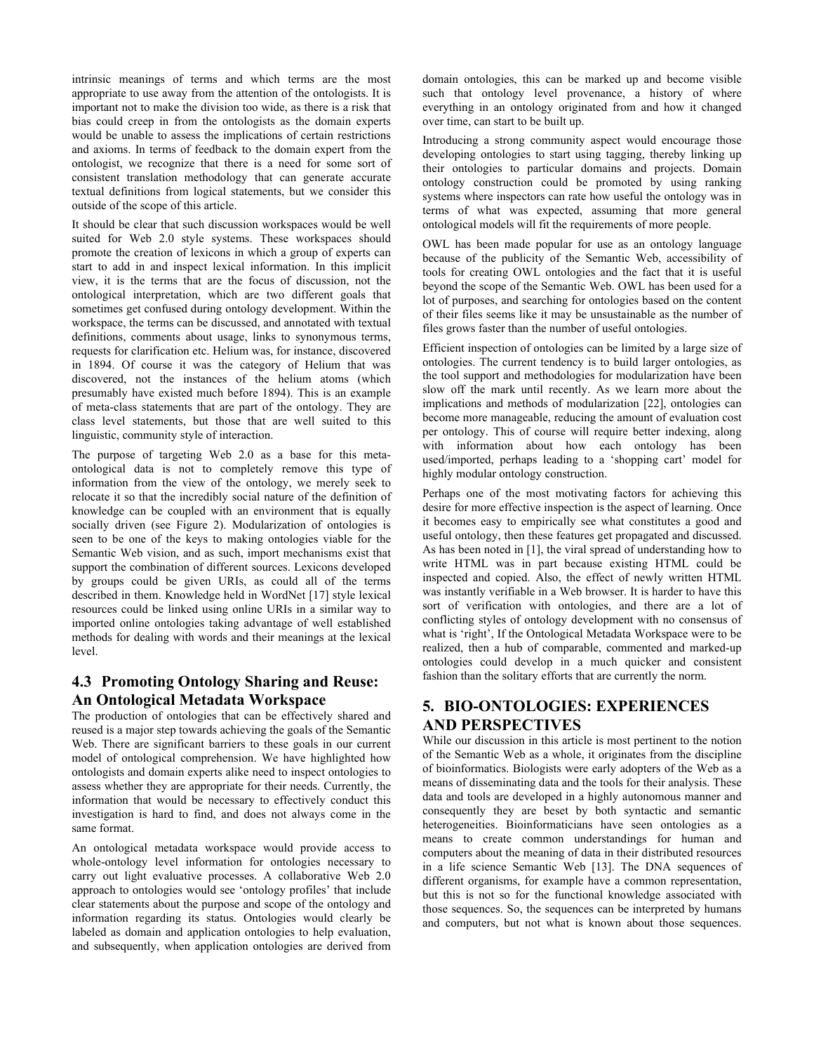intrinsic meanings of terms and which terms are the most appropriate to use away from the attention of the ontologists. It is important not to make the division too wide, as there is a risk that bias could creep in from the ontologists as the domain experts would be unable to assess the implications of certain restrictions and axioms. In terms of feedback to the domain expert from the ontologist, we recognize that there is a need for some sort of consistent translation methodology that can generate accurate textual definitions from logical statements, but we consider this outside of the scope of this article.

It should be clear that such discussion workspaces would be well suited for Web 2.0 style systems. These workspaces should promote the creation of lexicons in which a group of experts can start to add in and inspect lexical information. In this implicit view, it is the terms that are the focus of discussion, not the ontological interpretation, which are two different goals that sometimes get confused during ontology development. Within the workspace, the terms can be discussed, and annotated with textual definitions, comments about usage, links to synonymous terms, requests for clarification etc. Helium was, for instance, discovered in 1894. Of course it was the category of Helium that was discovered, not the instances of the helium atoms (which presumably have existed much before 1894). This is an example of meta-class statements that are part of the ontology. They are class level statements, but those that are well suited to this linguistic, community style of interaction.

The purpose of targeting Web 2.0 as a base for this metaontological data is not to completely remove this type of information from the view of the ontology, we merely seek to relocate it so that the incredibly social nature of the definition of knowledge can be coupled with an environment that is equally socially driven (see [Figure 2](#page-5-0)). Modularization of ontologies is seen to be one of the keys to making ontologies viable for the Semantic Web vision, and as such, import mechanisms exist that support the combination of different sources. Lexicons developed by groups could be given URIs, as could all of the terms described in them. Knowledge held in WordNet [17] style lexical resources could be linked using online URIs in a similar way to imported online ontologies taking advantage of well established methods for dealing with words and their meanings at the lexical level.

# **4.3 Promoting Ontology Sharing and Reuse: An Ontological Metadata Workspace**

The production of ontologies that can be effectively shared and reused is a major step towards achieving the goals of the Semantic Web. There are significant barriers to these goals in our current model of ontological comprehension. We have highlighted how ontologists and domain experts alike need to inspect ontologies to assess whether they are appropriate for their needs. Currently, the information that would be necessary to effectively conduct this investigation is hard to find, and does not always come in the same format.

An ontological metadata workspace would provide access to whole-ontology level information for ontologies necessary to carry out light evaluative processes. A collaborative Web 2.0 approach to ontologies would see 'ontology profiles' that include clear statements about the purpose and scope of the ontology and information regarding its status. Ontologies would clearly be labeled as domain and application ontologies to help evaluation, and subsequently, when application ontologies are derived from

domain ontologies, this can be marked up and become visible such that ontology level provenance, a history of where everything in an ontology originated from and how it changed over time, can start to be built up.

Introducing a strong community aspect would encourage those developing ontologies to start using tagging, thereby linking up their ontologies to particular domains and projects. Domain ontology construction could be promoted by using ranking systems where inspectors can rate how useful the ontology was in terms of what was expected, assuming that more general ontological models will fit the requirements of more people.

OWL has been made popular for use as an ontology language because of the publicity of the Semantic Web, accessibility of tools for creating OWL ontologies and the fact that it is useful beyond the scope of the Semantic Web. OWL has been used for a lot of purposes, and searching for ontologies based on the content of their files seems like it may be unsustainable as the number of files grows faster than the number of useful ontologies.

Efficient inspection of ontologies can be limited by a large size of ontologies. The current tendency is to build larger ontologies, as the tool support and methodologies for modularization have been slow off the mark until recently. As we learn more about the implications and methods of modularization [22], ontologies can become more manageable, reducing the amount of evaluation cost per ontology. This of course will require better indexing, along with information about how each ontology has been used/imported, perhaps leading to a 'shopping cart' model for highly modular ontology construction.

Perhaps one of the most motivating factors for achieving this desire for more effective inspection is the aspect of learning. Once it becomes easy to empirically see what constitutes a good and useful ontology, then these features get propagated and discussed. As has been noted in [1], the viral spread of understanding how to write HTML was in part because existing HTML could be inspected and copied. Also, the effect of newly written HTML was instantly verifiable in a Web browser. It is harder to have this sort of verification with ontologies, and there are a lot of conflicting styles of ontology development with no consensus of what is 'right', If the Ontological Metadata Workspace were to be realized, then a hub of comparable, commented and marked-up ontologies could develop in a much quicker and consistent fashion than the solitary efforts that are currently the norm.

# **5. BIO-ONTOLOGIES: EXPERIENCES AND PERSPECTIVES**

While our discussion in this article is most pertinent to the notion of the Semantic Web as a whole, it originates from the discipline of bioinformatics. Biologists were early adopters of the Web as a means of disseminating data and the tools for their analysis. These data and tools are developed in a highly autonomous manner and consequently they are beset by both syntactic and semantic heterogeneities. Bioinformaticians have seen ontologies as a means to create common understandings for human and computers about the meaning of data in their distributed resources in a life science Semantic Web [13]. The DNA sequences of different organisms, for example have a common representation, but this is not so for the functional knowledge associated with those sequences. So, the sequences can be interpreted by humans and computers, but not what is known about those sequences.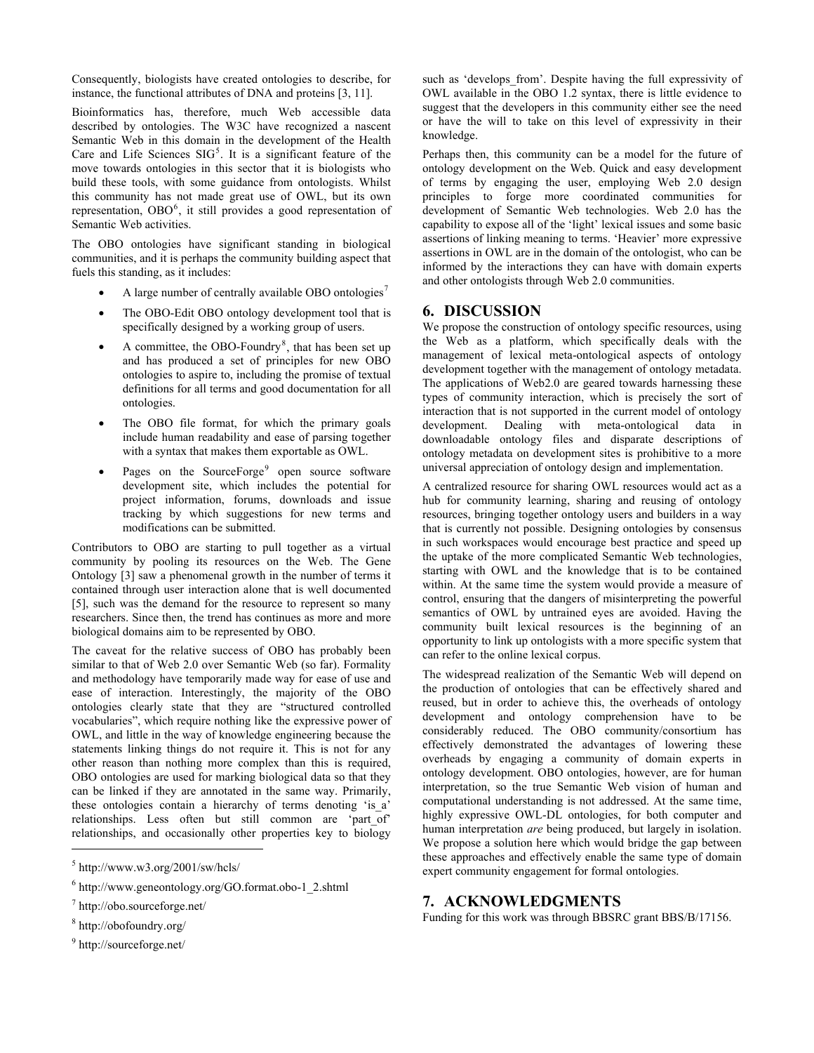Consequently, biologists have created ontologies to describe, for instance, the functional attributes of DNA and proteins [3, 11].

Bioinformatics has, therefore, much Web accessible data described by ontologies. The W3C have recognized a nascent Semantic Web in this domain in the development of the Health Care and Life Sciences  $SIG<sup>5</sup>$  $SIG<sup>5</sup>$  $SIG<sup>5</sup>$ . It is a significant feature of the move towards ontologies in this sector that it is biologists who build these tools, with some guidance from ontologists. Whilst this community has not made great use of OWL, but its own representation,  $OBO<sup>6</sup>$  $OBO<sup>6</sup>$  $OBO<sup>6</sup>$ , it still provides a good representation of Semantic Web activities.

The OBO ontologies have significant standing in biological communities, and it is perhaps the community building aspect that fuels this standing, as it includes:

- A large number of centrally available OBO ontologies<sup>[7](#page-7-2)</sup>
- The OBO-Edit OBO ontology development tool that is specifically designed by a working group of users.
- A committee, the OBO-Foundry<sup>[8](#page-7-3)</sup>, that has been set up and has produced a set of principles for new OBO ontologies to aspire to, including the promise of textual definitions for all terms and good documentation for all ontologies.
- The OBO file format, for which the primary goals include human readability and ease of parsing together with a syntax that makes them exportable as OWL.
- Pages on the SourceForge<sup>[9](#page-7-4)</sup> open source software development site, which includes the potential for project information, forums, downloads and issue tracking by which suggestions for new terms and modifications can be submitted.

Contributors to OBO are starting to pull together as a virtual community by pooling its resources on the Web. The Gene Ontology [3] saw a phenomenal growth in the number of terms it contained through user interaction alone that is well documented [5], such was the demand for the resource to represent so many researchers. Since then, the trend has continues as more and more biological domains aim to be represented by OBO.

The caveat for the relative success of OBO has probably been similar to that of Web 2.0 over Semantic Web (so far). Formality and methodology have temporarily made way for ease of use and ease of interaction. Interestingly, the majority of the OBO ontologies clearly state that they are "structured controlled vocabularies", which require nothing like the expressive power of OWL, and little in the way of knowledge engineering because the statements linking things do not require it. This is not for any other reason than nothing more complex than this is required, OBO ontologies are used for marking biological data so that they can be linked if they are annotated in the same way. Primarily, these ontologies contain a hierarchy of terms denoting 'is\_a' relationships. Less often but still common are 'part\_of' relationships, and occasionally other properties key to biology

 $\overline{a}$ 

such as 'develops from'. Despite having the full expressivity of OWL available in the OBO 1.2 syntax, there is little evidence to suggest that the developers in this community either see the need or have the will to take on this level of expressivity in their knowledge.

Perhaps then, this community can be a model for the future of ontology development on the Web. Quick and easy development of terms by engaging the user, employing Web 2.0 design principles to forge more coordinated communities for development of Semantic Web technologies. Web 2.0 has the capability to expose all of the 'light' lexical issues and some basic assertions of linking meaning to terms. 'Heavier' more expressive assertions in OWL are in the domain of the ontologist, who can be informed by the interactions they can have with domain experts and other ontologists through Web 2.0 communities.

#### **6. DISCUSSION**

We propose the construction of ontology specific resources, using the Web as a platform, which specifically deals with the management of lexical meta-ontological aspects of ontology development together with the management of ontology metadata. The applications of Web2.0 are geared towards harnessing these types of community interaction, which is precisely the sort of interaction that is not supported in the current model of ontology development. Dealing with meta-ontological data in downloadable ontology files and disparate descriptions of ontology metadata on development sites is prohibitive to a more universal appreciation of ontology design and implementation.

A centralized resource for sharing OWL resources would act as a hub for community learning, sharing and reusing of ontology resources, bringing together ontology users and builders in a way that is currently not possible. Designing ontologies by consensus in such workspaces would encourage best practice and speed up the uptake of the more complicated Semantic Web technologies, starting with OWL and the knowledge that is to be contained within. At the same time the system would provide a measure of control, ensuring that the dangers of misinterpreting the powerful semantics of OWL by untrained eyes are avoided. Having the community built lexical resources is the beginning of an opportunity to link up ontologists with a more specific system that can refer to the online lexical corpus.

The widespread realization of the Semantic Web will depend on the production of ontologies that can be effectively shared and reused, but in order to achieve this, the overheads of ontology development and ontology comprehension have to be considerably reduced. The OBO community/consortium has effectively demonstrated the advantages of lowering these overheads by engaging a community of domain experts in ontology development. OBO ontologies, however, are for human interpretation, so the true Semantic Web vision of human and computational understanding is not addressed. At the same time, highly expressive OWL-DL ontologies, for both computer and human interpretation *are* being produced, but largely in isolation. We propose a solution here which would bridge the gap between these approaches and effectively enable the same type of domain expert community engagement for formal ontologies.

#### **7. ACKNOWLEDGMENTS**

Funding for this work was through BBSRC grant BBS/B/17156.

<span id="page-7-0"></span> $<sup>5</sup>$  http://www.w3.org/2001/sw/hcls/</sup>

<span id="page-7-1"></span><sup>6</sup> http://www.geneontology.org/GO.format.obo-1\_2.shtml

<span id="page-7-2"></span><sup>7</sup> http://obo.sourceforge.net/

<span id="page-7-3"></span><sup>8</sup> http://obofoundry.org/

<span id="page-7-4"></span><sup>9</sup> http://sourceforge.net/